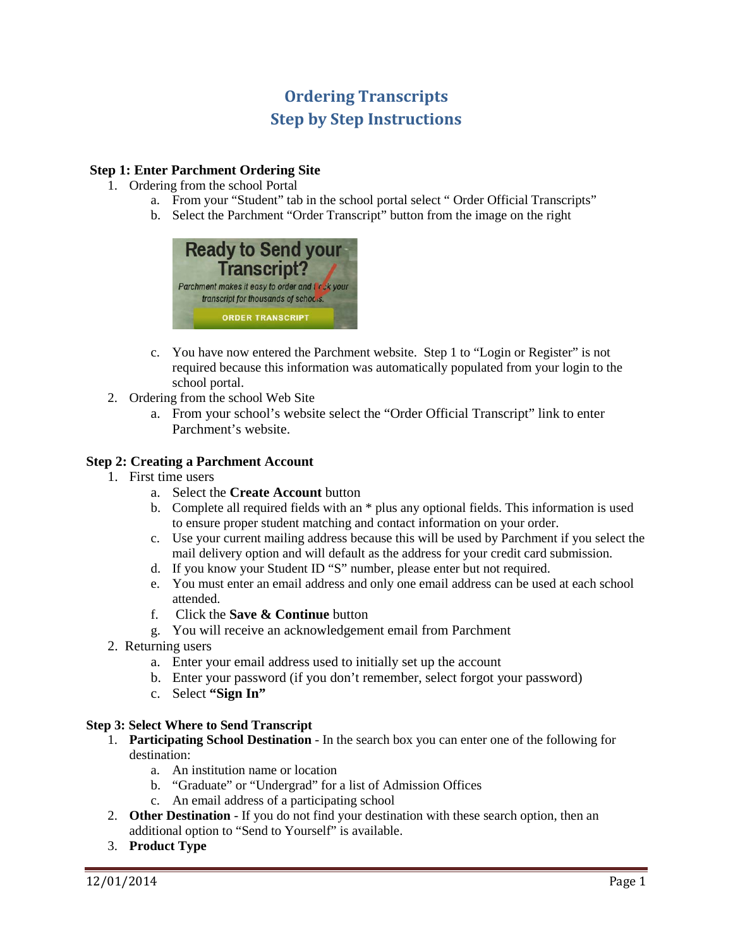# **Ordering Transcripts Step by Step Instructions**

# **Step 1: Enter Parchment Ordering Site**

- 1. Ordering from the school Portal
	- a. From your "Student" tab in the school portal select " Order Official Transcripts"
	- b. Select the Parchment "Order Transcript" button from the image on the right



- c. You have now entered the Parchment website. Step 1 to "Login or Register" is not required because this information was automatically populated from your login to the school portal.
- 2. Ordering from the school Web Site
	- a. From your school's website select the "Order Official Transcript" link to enter Parchment's website.

# **Step 2: Creating a Parchment Account**

- 1. First time users
	- a. Select the **Create Account** button
	- b. Complete all required fields with an \* plus any optional fields. This information is used to ensure proper student matching and contact information on your order.
	- c. Use your current mailing address because this will be used by Parchment if you select the mail delivery option and will default as the address for your credit card submission.
	- d. If you know your Student ID "S" number, please enter but not required.
	- e. You must enter an email address and only one email address can be used at each school attended.
	- f. Click the **Save & Continue** button
	- g. You will receive an acknowledgement email from Parchment
- 2. Returning users
	- a. Enter your email address used to initially set up the account
	- b. Enter your password (if you don't remember, select forgot your password)
	- c. Select **"Sign In"**

#### **Step 3: Select Where to Send Transcript**

- 1. **Participating School Destination** In the search box you can enter one of the following for destination:
	- a. An institution name or location
	- b. "Graduate" or "Undergrad" for a list of Admission Offices
	- c. An email address of a participating school
- 2. **Other Destination** If you do not find your destination with these search option, then an additional option to "Send to Yourself" is available.
- 3. **Product Type**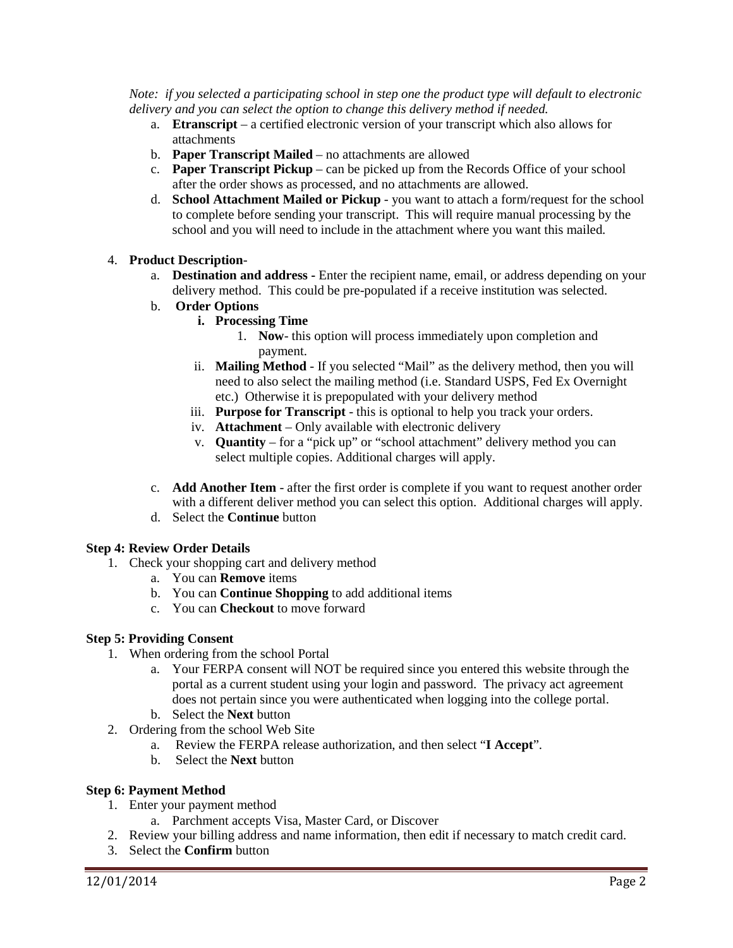*Note: if you selected a participating school in step one the product type will default to electronic delivery and you can select the option to change this delivery method if needed.*

- a. **Etranscript** a certified electronic version of your transcript which also allows for attachments
- b. **Paper Transcript Mailed** no attachments are allowed
- c. **Paper Transcript Pickup** can be picked up from the Records Office of your school after the order shows as processed, and no attachments are allowed.
- d. **School Attachment Mailed or Pickup**  you want to attach a form/request for the school to complete before sending your transcript. This will require manual processing by the school and you will need to include in the attachment where you want this mailed.

## 4. **Product Description**-

- a. **Destination and address -** Enter the recipient name, email, or address depending on your delivery method. This could be pre-populated if a receive institution was selected.
- b. **Order Options**
	- **i. Processing Time**
		- 1. **Now** this option will process immediately upon completion and payment.
	- ii. **Mailing Method** If you selected "Mail" as the delivery method, then you will need to also select the mailing method (i.e. Standard USPS, Fed Ex Overnight etc.) Otherwise it is prepopulated with your delivery method
	- iii. **Purpose for Transcript** this is optional to help you track your orders.
	- iv. **Attachment**  Only available with electronic delivery
	- v. **Quantity**  for a "pick up" or "school attachment" delivery method you can select multiple copies. Additional charges will apply.
- c. **Add Another Item** after the first order is complete if you want to request another order with a different deliver method you can select this option. Additional charges will apply.
- d. Select the **Continue** button

# **Step 4: Review Order Details**

- 1. Check your shopping cart and delivery method
	- a. You can **Remove** items
	- b. You can **Continue Shopping** to add additional items
	- c. You can **Checkout** to move forward

#### **Step 5: Providing Consent**

- 1. When ordering from the school Portal
	- a. Your FERPA consent will NOT be required since you entered this website through the portal as a current student using your login and password. The privacy act agreement does not pertain since you were authenticated when logging into the college portal.
	- b. Select the **Next** button
- 2. Ordering from the school Web Site
	- a. Review the FERPA release authorization, and then select "**I Accept**".
	- b. Select the **Next** button

#### **Step 6: Payment Method**

- 1. Enter your payment method
	- a. Parchment accepts Visa, Master Card, or Discover
- 2. Review your billing address and name information, then edit if necessary to match credit card.
- 3. Select the **Confirm** button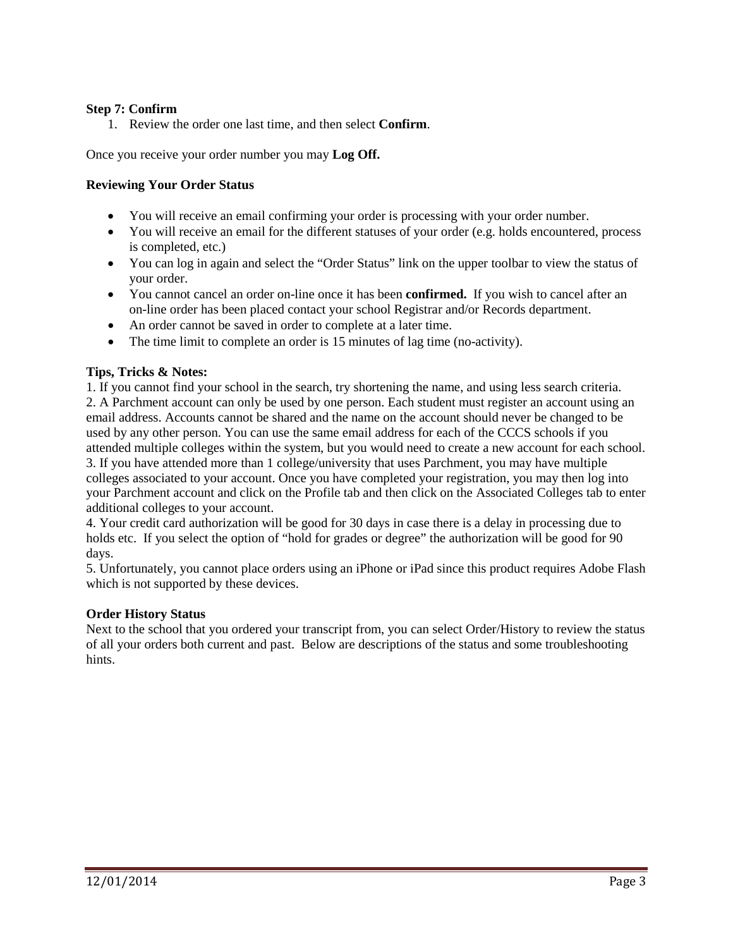# **Step 7: Confirm**

1. Review the order one last time, and then select **Confirm**.

Once you receive your order number you may **Log Off.**

#### **Reviewing Your Order Status**

- You will receive an email confirming your order is processing with your order number.
- You will receive an email for the different statuses of your order (e.g. holds encountered, process is completed, etc.)
- You can log in again and select the "Order Status" link on the upper toolbar to view the status of your order.
- You cannot cancel an order on-line once it has been **confirmed.** If you wish to cancel after an on-line order has been placed contact your school Registrar and/or Records department.
- An order cannot be saved in order to complete at a later time.
- The time limit to complete an order is 15 minutes of lag time (no-activity).

## **Tips, Tricks & Notes:**

1. If you cannot find your school in the search, try shortening the name, and using less search criteria. 2. A Parchment account can only be used by one person. Each student must register an account using an email address. Accounts cannot be shared and the name on the account should never be changed to be used by any other person. You can use the same email address for each of the CCCS schools if you attended multiple colleges within the system, but you would need to create a new account for each school. 3. If you have attended more than 1 college/university that uses Parchment, you may have multiple colleges associated to your account. Once you have completed your registration, you may then log into your Parchment account and click on the Profile tab and then click on the Associated Colleges tab to enter additional colleges to your account.

4. Your credit card authorization will be good for 30 days in case there is a delay in processing due to holds etc. If you select the option of "hold for grades or degree" the authorization will be good for 90 days.

5. Unfortunately, you cannot place orders using an iPhone or iPad since this product requires Adobe Flash which is not supported by these devices.

#### **Order History Status**

Next to the school that you ordered your transcript from, you can select Order/History to review the status of all your orders both current and past. Below are descriptions of the status and some troubleshooting hints.